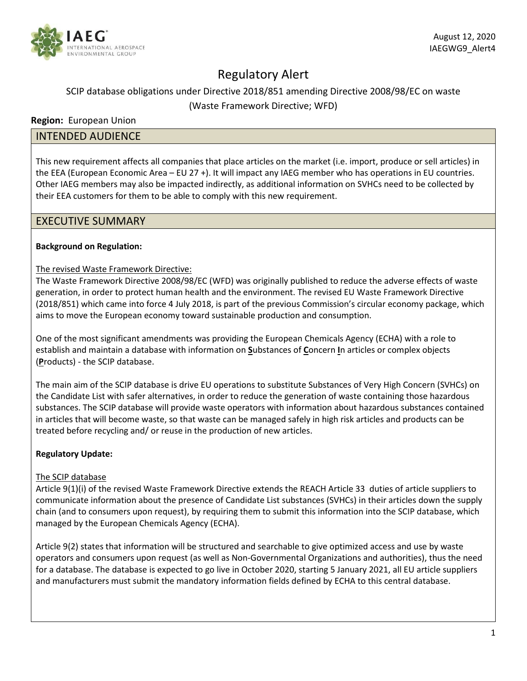

# Regulatory Alert

# SCIP database obligations under Directive 2018/851 amending Directive 2008/98/EC on waste (Waste Framework Directive; WFD)

## **Region:** European Union

# INTENDED AUDIENCE

This new requirement affects all companies that place articles on the market (i.e. import, produce or sell articles) in the EEA (European Economic Area – EU 27 +). It will impact any IAEG member who has operations in EU countries. Other IAEG members may also be impacted indirectly, as additional information on SVHCs need to be collected by their EEA customers for them to be able to comply with this new requirement.

## EXECUTIVE SUMMARY

#### **Background on Regulation:**

#### The revised Waste Framework Directive:

The Waste Framework Directive 2008/98/EC (WFD) was originally published to reduce the adverse effects of waste generation, in order to protect human health and the environment. The revised EU Waste Framework Directive (2018/851) which came into force 4 July 2018, is part of the previous Commission's circular economy package, which aims to move the European economy toward sustainable production and consumption.

One of the most significant amendments was providing the European Chemicals Agency (ECHA) with a role to establish and maintain a database with information on **S**ubstances of **C**oncern **I**n articles or complex objects (**P**roducts) - the SCIP database.

The main aim of the SCIP database is drive EU operations to substitute Substances of Very High Concern (SVHCs) on the Candidate List with safer alternatives, in order to reduce the generation of waste containing those hazardous substances. The SCIP database will provide waste operators with information about hazardous substances contained in articles that will become waste, so that waste can be managed safely in high risk articles and products can be treated before recycling and/ or reuse in the production of new articles.

#### **Regulatory Update:**

#### The SCIP database

Article 9(1)(i) of the revised Waste Framework Directive extends the REACH Article 33 duties of article suppliers to communicate information about the presence of Candidate List substances (SVHCs) in their articles down the supply chain (and to consumers upon request), by requiring them to submit this information into the SCIP database, which managed by the European Chemicals Agency (ECHA).

Article 9(2) states that information will be structured and searchable to give optimized access and use by waste operators and consumers upon request (as well as Non-Governmental Organizations and authorities), thus the need for a database. The database is expected to go live in October 2020, starting 5 January 2021, all EU article suppliers and manufacturers must submit the mandatory information fields defined by ECHA to this central database.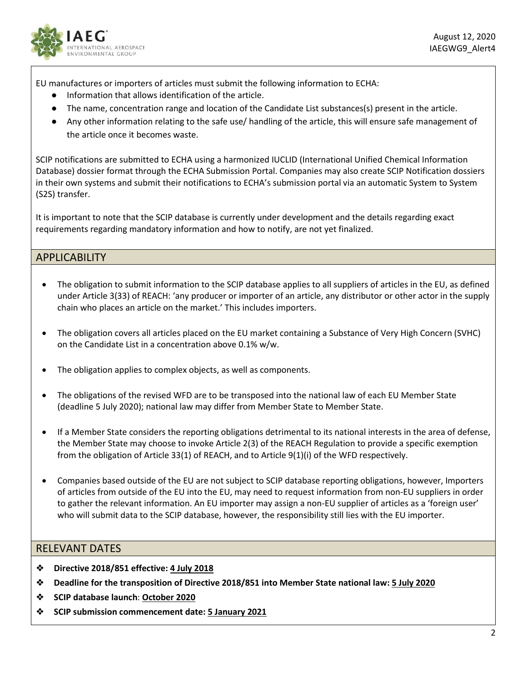

EU manufactures or importers of articles must submit the following information to ECHA:

- Information that allows identification of the article.
- The name, concentration range and location of the Candidate List substances(s) present in the article.
- Any other information relating to the safe use/ handling of the article, this will ensure safe management of the article once it becomes waste.

SCIP notifications are submitted to ECHA using a harmonized IUCLID (International Unified Chemical Information Database) dossier format through the ECHA Submission Portal. Companies may also create SCIP Notification dossiers in their own systems and submit their notifications to ECHA's submission portal via an automatic System to System (S2S) transfer.

It is important to note that the SCIP database is currently under development and the details regarding exact requirements regarding mandatory information and how to notify, are not yet finalized.

# APPLICABILITY

- The obligation to submit information to the SCIP database applies to all suppliers of articles in the EU, as defined under Article 3(33) of REACH: 'any producer or importer of an article, any distributor or other actor in the supply chain who places an article on the market.' This includes importers.
- The obligation covers all articles placed on the EU market containing a Substance of Very High Concern (SVHC) on the Candidate List in a concentration above 0.1% w/w.
- The obligation applies to complex objects, as well as components.
- The obligations of the revised WFD are to be transposed into the national law of each EU Member State (deadline 5 July 2020); national law may differ from Member State to Member State.
- If a Member State considers the reporting obligations detrimental to its national interests in the area of defense, the Member State may choose to invoke Article 2(3) of the REACH Regulation to provide a specific exemption from the obligation of Article 33(1) of REACH, and to Article 9(1)(i) of the WFD respectively.
- Companies based outside of the EU are not subject to SCIP database reporting obligations, however, Importers of articles from outside of the EU into the EU, may need to request information from non-EU suppliers in order to gather the relevant information. An EU importer may assign a non-EU supplier of articles as a 'foreign user' who will submit data to the SCIP database, however, the responsibility still lies with the EU importer.

# RELEVANT DATES

- ❖ **Directive 2018/851 effective: 4 July 2018**
- ❖ **Deadline for the transposition of Directive 2018/851 into Member State national law: 5 July 2020**
- ❖ **SCIP database launch**: **October 2020**
- ❖ **SCIP submission commencement date: 5 January 2021**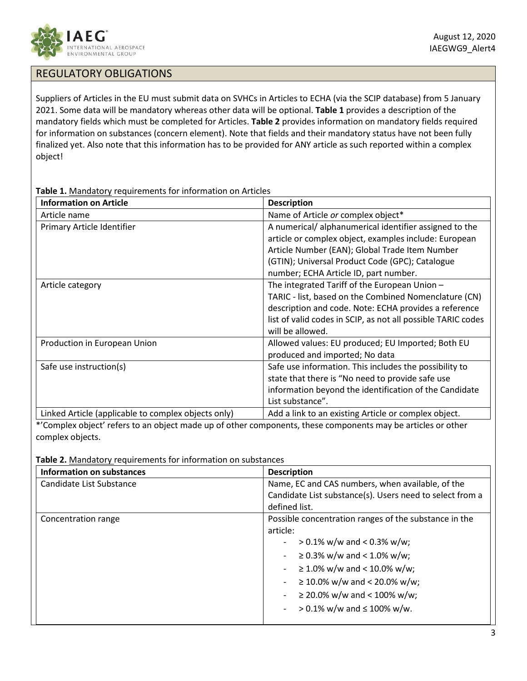

# REGULATORY OBLIGATIONS

Suppliers of Articles in the EU must submit data on SVHCs in Articles to ECHA (via the SCIP database) from 5 January 2021. Some data will be mandatory whereas other data will be optional. **Table 1** provides a description of the mandatory fields which must be completed for Articles. **Table 2** provides information on mandatory fields required for information on substances (concern element). Note that fields and their mandatory status have not been fully finalized yet. Also note that this information has to be provided for ANY article as such reported within a complex object!

**Table 1.** Mandatory requirements for information on Articles

| <b>Information on Article</b>                       | <b>Description</b>                                           |
|-----------------------------------------------------|--------------------------------------------------------------|
| Article name                                        | Name of Article or complex object*                           |
| Primary Article Identifier                          | A numerical/alphanumerical identifier assigned to the        |
|                                                     | article or complex object, examples include: European        |
|                                                     | Article Number (EAN); Global Trade Item Number               |
|                                                     | (GTIN); Universal Product Code (GPC); Catalogue              |
|                                                     | number; ECHA Article ID, part number.                        |
| Article category                                    | The integrated Tariff of the European Union -                |
|                                                     | TARIC - list, based on the Combined Nomenclature (CN)        |
|                                                     | description and code. Note: ECHA provides a reference        |
|                                                     | list of valid codes in SCIP, as not all possible TARIC codes |
|                                                     | will be allowed.                                             |
| Production in European Union                        | Allowed values: EU produced; EU Imported; Both EU            |
|                                                     | produced and imported; No data                               |
| Safe use instruction(s)                             | Safe use information. This includes the possibility to       |
|                                                     | state that there is "No need to provide safe use             |
|                                                     | information beyond the identification of the Candidate       |
|                                                     | List substance".                                             |
| Linked Article (applicable to complex objects only) | Add a link to an existing Article or complex object.         |

\*'Complex object' refers to an object made up of other components, these components may be articles or other complex objects.

**Table 2.** Mandatory requirements for information on substances

| <b>Information on substances</b> | <b>Description</b>                                       |
|----------------------------------|----------------------------------------------------------|
| Candidate List Substance         | Name, EC and CAS numbers, when available, of the         |
|                                  | Candidate List substance(s). Users need to select from a |
|                                  | defined list.                                            |
| Concentration range              | Possible concentration ranges of the substance in the    |
|                                  | article:                                                 |
|                                  | $> 0.1\%$ w/w and < 0.3% w/w;                            |
|                                  | $\geq$ 0.3% w/w and < 1.0% w/w;                          |
|                                  | $\geq 1.0\%$ w/w and < 10.0% w/w;                        |
|                                  | $\geq$ 10.0% w/w and < 20.0% w/w;                        |
|                                  | $\geq$ 20.0% w/w and < 100% w/w;                         |
|                                  | $> 0.1\%$ w/w and $\leq 100\%$ w/w.                      |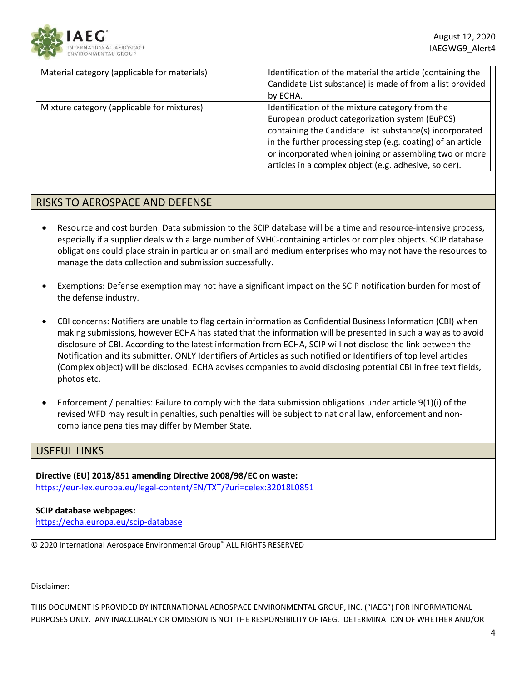

| Material category (applicable for materials) | Identification of the material the article (containing the<br>Candidate List substance) is made of from a list provided<br>by ECHA.                                                                                                                                                                                                            |
|----------------------------------------------|------------------------------------------------------------------------------------------------------------------------------------------------------------------------------------------------------------------------------------------------------------------------------------------------------------------------------------------------|
| Mixture category (applicable for mixtures)   | Identification of the mixture category from the<br>European product categorization system (EuPCS)<br>containing the Candidate List substance(s) incorporated<br>in the further processing step (e.g. coating) of an article<br>or incorporated when joining or assembling two or more<br>articles in a complex object (e.g. adhesive, solder). |

# RISKS TO AEROSPACE AND DEFENSE

- Resource and cost burden: Data submission to the SCIP database will be a time and resource-intensive process, especially if a supplier deals with a large number of SVHC-containing articles or complex objects. SCIP database obligations could place strain in particular on small and medium enterprises who may not have the resources to manage the data collection and submission successfully.
- Exemptions: Defense exemption may not have a significant impact on the SCIP notification burden for most of the defense industry.
- CBI concerns: Notifiers are unable to flag certain information as Confidential Business Information (CBI) when making submissions, however ECHA has stated that the information will be presented in such a way as to avoid disclosure of CBI. According to the latest information from ECHA, SCIP will not disclose the link between the Notification and its submitter. ONLY Identifiers of Articles as such notified or Identifiers of top level articles (Complex object) will be disclosed. ECHA advises companies to avoid disclosing potential CBI in free text fields, photos etc.
- Enforcement / penalties: Failure to comply with the data submission obligations under article 9(1)(i) of the revised WFD may result in penalties, such penalties will be subject to national law, enforcement and noncompliance penalties may differ by Member State.

#### USEFUL LINKS

**Directive (EU) 2018/851 amending Directive 2008/98/EC on waste:**  <https://eur-lex.europa.eu/legal-content/EN/TXT/?uri=celex:32018L0851>

#### **SCIP database webpages:**

<https://echa.europa.eu/scip-database>

© 2020 International Aerospace Environmental Group® ALL RIGHTS RESERVED

Disclaimer:

THIS DOCUMENT IS PROVIDED BY INTERNATIONAL AEROSPACE ENVIRONMENTAL GROUP, INC. ("IAEG") FOR INFORMATIONAL PURPOSES ONLY. ANY INACCURACY OR OMISSION IS NOT THE RESPONSIBILITY OF IAEG. DETERMINATION OF WHETHER AND/OR